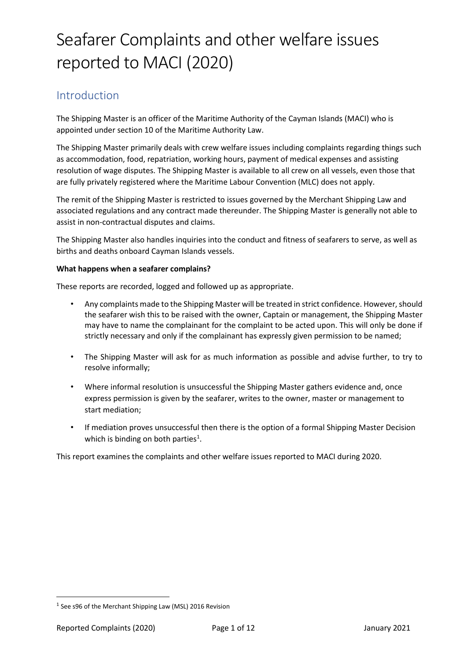### Introduction

The Shipping Master is an officer of the Maritime Authority of the Cayman Islands (MACI) who is appointed under section 10 of the Maritime Authority Law.

The Shipping Master primarily deals with crew welfare issues including complaints regarding things such as accommodation, food, repatriation, working hours, payment of medical expenses and assisting resolution of wage disputes. The Shipping Master is available to all crew on all vessels, even those that are fully privately registered where the Maritime Labour Convention (MLC) does not apply.

The remit of the Shipping Master is restricted to issues governed by the Merchant Shipping Law and associated regulations and any contract made thereunder. The Shipping Master is generally not able to assist in non-contractual disputes and claims.

The Shipping Master also handles inquiries into the conduct and fitness of seafarers to serve, as well as births and deaths onboard Cayman Islands vessels.

#### **What happens when a seafarer complains?**

These reports are recorded, logged and followed up as appropriate.

- Any complaints made to the Shipping Master will be treated in strict confidence. However, should the seafarer wish this to be raised with the owner, Captain or management, the Shipping Master may have to name the complainant for the complaint to be acted upon. This will only be done if strictly necessary and only if the complainant has expressly given permission to be named;
- The Shipping Master will ask for as much information as possible and advise further, to try to resolve informally;
- Where informal resolution is unsuccessful the Shipping Master gathers evidence and, once express permission is given by the seafarer, writes to the owner, master or management to start mediation;
- If mediation proves unsuccessful then there is the option of a formal Shipping Master Decision which is binding on both parties $<sup>1</sup>$  $<sup>1</sup>$  $<sup>1</sup>$ .</sup>

This report examines the complaints and other welfare issues reported to MACI during 2020.

<span id="page-0-0"></span> $1$  See s96 of the Merchant Shipping Law (MSL) 2016 Revision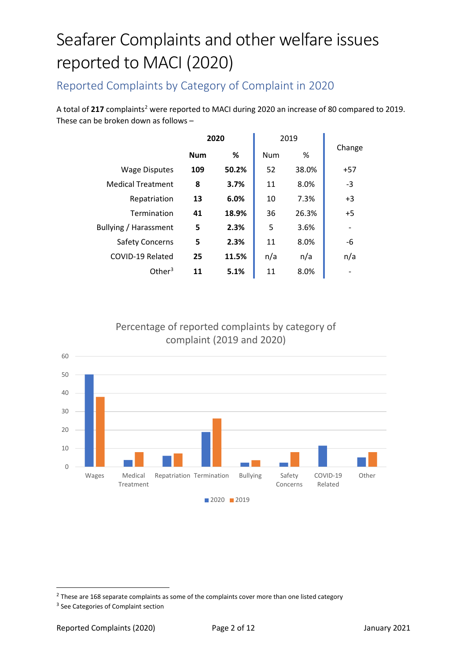### Reported Complaints by Category of Complaint in 2020

A total of [2](#page-1-0)17 complaints<sup>2</sup> were reported to MACI during 2020 an increase of 80 compared to 2019. These can be broken down as follows –

|                          | 2020       |       | 2019 |       |        |
|--------------------------|------------|-------|------|-------|--------|
|                          | <b>Num</b> | %     | Num  | %     | Change |
| <b>Wage Disputes</b>     | 109        | 50.2% | 52   | 38.0% | $+57$  |
| <b>Medical Treatment</b> | 8          | 3.7%  | 11   | 8.0%  | -3     |
| Repatriation             | 13         | 6.0%  | 10   | 7.3%  | $+3$   |
| Termination              | 41         | 18.9% | 36   | 26.3% | $+5$   |
| Bullying / Harassment    | 5          | 2.3%  | 5    | 3.6%  |        |
| <b>Safety Concerns</b>   | 5          | 2.3%  | 11   | 8.0%  | -6     |
| COVID-19 Related         | 25         | 11.5% | n/a  | n/a   | n/a    |
| Other $3$                | 11         | 5.1%  | 11   | 8.0%  |        |

#### Percentage of reported complaints by category of complaint (2019 and 2020)



<span id="page-1-0"></span> $2$  These are 168 separate complaints as some of the complaints cover more than one listed category

<span id="page-1-1"></span><sup>&</sup>lt;sup>3</sup> See Categories of Complaint section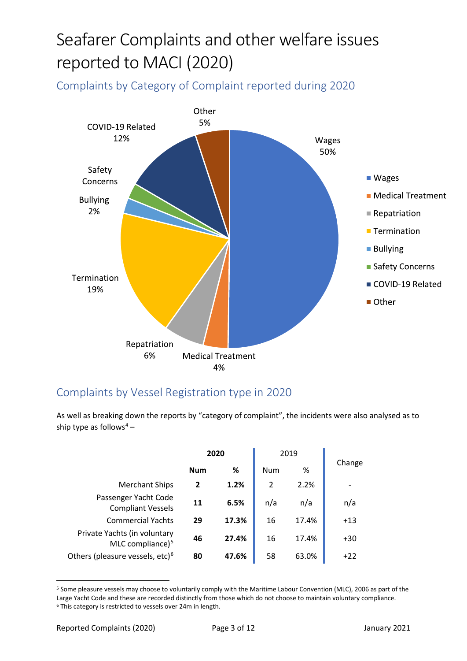<span id="page-2-0"></span>Complaints by Category of Complaint reported during 2020



### Complaints by Vessel Registration type in 2020

As well as breaking down the reports by "category of complaint", the incidents were also analysed as to ship type as follows<sup>[4](#page-2-0)</sup> –

|                                                              | 2020       |       | 2019          |       |        |  |
|--------------------------------------------------------------|------------|-------|---------------|-------|--------|--|
|                                                              | <b>Num</b> | ℅     | <b>Num</b>    | %     | Change |  |
| <b>Merchant Ships</b>                                        | 2          | 1.2%  | $\mathfrak z$ | 2.2%  |        |  |
| Passenger Yacht Code<br><b>Compliant Vessels</b>             | 11         | 6.5%  | n/a           | n/a   | n/a    |  |
| <b>Commercial Yachts</b>                                     | 29         | 17.3% | 16            | 17.4% | $+13$  |  |
| Private Yachts (in voluntary<br>MLC compliance) <sup>5</sup> | 46         | 27.4% | 16            | 17.4% | $+30$  |  |
| Others (pleasure vessels, etc) <sup>6</sup>                  | 80         | 47.6% | 58            | 63.0% | $+22$  |  |

<span id="page-2-2"></span><span id="page-2-1"></span><sup>5</sup> Some pleasure vessels may choose to voluntarily comply with the Maritime Labour Convention (MLC), 2006 as part of the Large Yacht Code and these are recorded distinctly from those which do not choose to maintain voluntary compliance. <sup>6</sup> This category is restricted to vessels over 24m in length.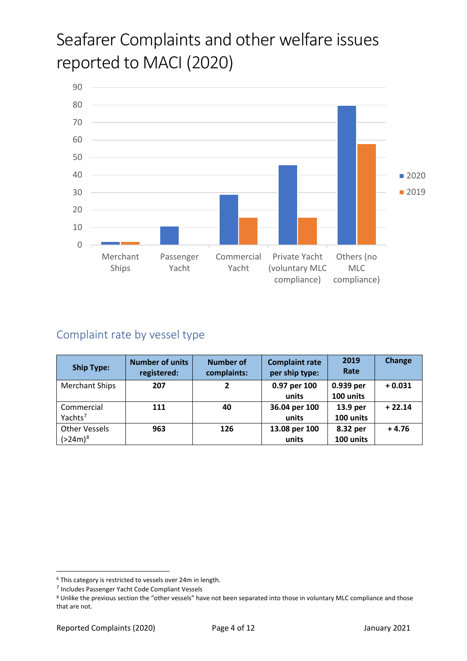<span id="page-3-0"></span>

### Complaint rate by vessel type

| <b>Ship Type:</b>     | <b>Number of units</b><br>registered: | <b>Number of</b><br>complaints: | <b>Complaint rate</b><br>per ship type: | 2019<br>Rate | Change   |
|-----------------------|---------------------------------------|---------------------------------|-----------------------------------------|--------------|----------|
| <b>Merchant Ships</b> | 207                                   | $\overline{2}$                  | 0.97 per 100                            | 0.939 per    | $+0.031$ |
|                       |                                       |                                 | units                                   | 100 units    |          |
| Commercial            | 111                                   | 40                              | 36.04 per 100                           | 13.9 per     | $+22.14$ |
| Yachts <sup>7</sup>   |                                       |                                 | units                                   | 100 units    |          |
| <b>Other Vessels</b>  | 963                                   | 126                             | 13.08 per 100                           | 8.32 per     | $+4.76$  |
| $(>24m)^8$            |                                       |                                 | units                                   | 100 units    |          |

<sup>6</sup> This category is restricted to vessels over 24m in length.

<sup>7</sup> Includes Passenger Yacht Code Compliant Vessels

<span id="page-3-1"></span><sup>8</sup> Unlike the previous section the "other vessels" have not been separated into those in voluntary MLC compliance and those that are not.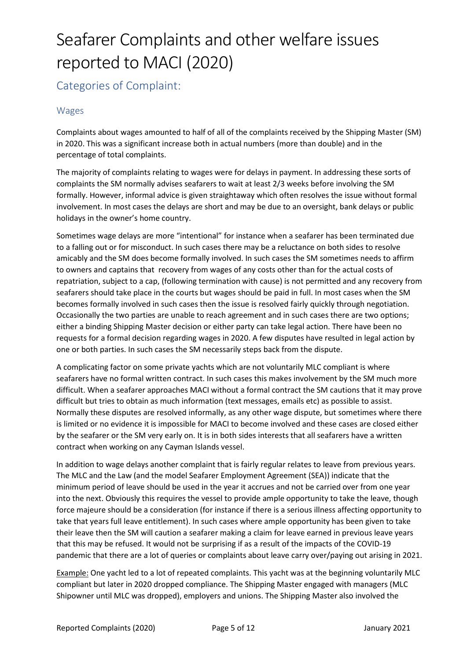Categories of Complaint:

#### Wages

Complaints about wages amounted to half of all of the complaints received by the Shipping Master (SM) in 2020. This was a significant increase both in actual numbers (more than double) and in the percentage of total complaints.

The majority of complaints relating to wages were for delays in payment. In addressing these sorts of complaints the SM normally advises seafarers to wait at least 2/3 weeks before involving the SM formally. However, informal advice is given straightaway which often resolves the issue without formal involvement. In most cases the delays are short and may be due to an oversight, bank delays or public holidays in the owner's home country.

Sometimes wage delays are more "intentional" for instance when a seafarer has been terminated due to a falling out or for misconduct. In such cases there may be a reluctance on both sides to resolve amicably and the SM does become formally involved. In such cases the SM sometimes needs to affirm to owners and captains that recovery from wages of any costs other than for the actual costs of repatriation, subject to a cap, (following termination with cause) is not permitted and any recovery from seafarers should take place in the courts but wages should be paid in full. In most cases when the SM becomes formally involved in such cases then the issue is resolved fairly quickly through negotiation. Occasionally the two parties are unable to reach agreement and in such cases there are two options; either a binding Shipping Master decision or either party can take legal action. There have been no requests for a formal decision regarding wages in 2020. A few disputes have resulted in legal action by one or both parties. In such cases the SM necessarily steps back from the dispute.

A complicating factor on some private yachts which are not voluntarily MLC compliant is where seafarers have no formal written contract. In such cases this makes involvement by the SM much more difficult. When a seafarer approaches MACI without a formal contract the SM cautions that it may prove difficult but tries to obtain as much information (text messages, emails etc) as possible to assist. Normally these disputes are resolved informally, as any other wage dispute, but sometimes where there is limited or no evidence it is impossible for MACI to become involved and these cases are closed either by the seafarer or the SM very early on. It is in both sides interests that all seafarers have a written contract when working on any Cayman Islands vessel.

In addition to wage delays another complaint that is fairly regular relates to leave from previous years. The MLC and the Law (and the model Seafarer Employment Agreement (SEA)) indicate that the minimum period of leave should be used in the year it accrues and not be carried over from one year into the next. Obviously this requires the vessel to provide ample opportunity to take the leave, though force majeure should be a consideration (for instance if there is a serious illness affecting opportunity to take that years full leave entitlement). In such cases where ample opportunity has been given to take their leave then the SM will caution a seafarer making a claim for leave earned in previous leave years that this may be refused. It would not be surprising if as a result of the impacts of the COVID-19 pandemic that there are a lot of queries or complaints about leave carry over/paying out arising in 2021.

Example: One yacht led to a lot of repeated complaints. This yacht was at the beginning voluntarily MLC compliant but later in 2020 dropped compliance. The Shipping Master engaged with managers (MLC Shipowner until MLC was dropped), employers and unions. The Shipping Master also involved the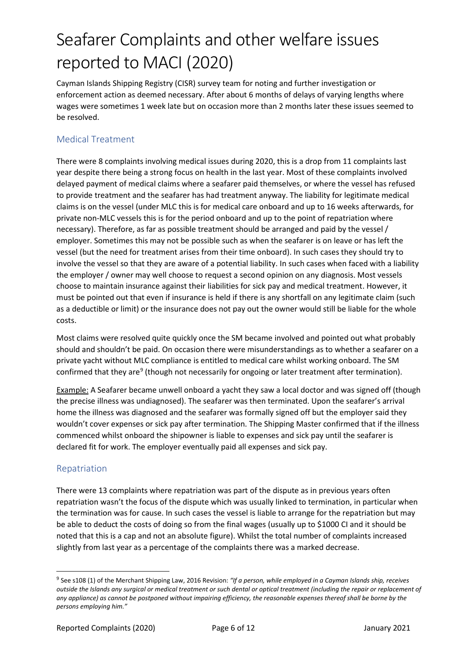Cayman Islands Shipping Registry (CISR) survey team for noting and further investigation or enforcement action as deemed necessary. After about 6 months of delays of varying lengths where wages were sometimes 1 week late but on occasion more than 2 months later these issues seemed to be resolved.

#### Medical Treatment

There were 8 complaints involving medical issues during 2020, this is a drop from 11 complaints last year despite there being a strong focus on health in the last year. Most of these complaints involved delayed payment of medical claims where a seafarer paid themselves, or where the vessel has refused to provide treatment and the seafarer has had treatment anyway. The liability for legitimate medical claims is on the vessel (under MLC this is for medical care onboard and up to 16 weeks afterwards, for private non-MLC vessels this is for the period onboard and up to the point of repatriation where necessary). Therefore, as far as possible treatment should be arranged and paid by the vessel / employer. Sometimes this may not be possible such as when the seafarer is on leave or has left the vessel (but the need for treatment arises from their time onboard). In such cases they should try to involve the vessel so that they are aware of a potential liability. In such cases when faced with a liability the employer / owner may well choose to request a second opinion on any diagnosis. Most vessels choose to maintain insurance against their liabilities for sick pay and medical treatment. However, it must be pointed out that even if insurance is held if there is any shortfall on any legitimate claim (such as a deductible or limit) or the insurance does not pay out the owner would still be liable for the whole costs.

Most claims were resolved quite quickly once the SM became involved and pointed out what probably should and shouldn't be paid. On occasion there were misunderstandings as to whether a seafarer on a private yacht without MLC compliance is entitled to medical care whilst working onboard. The SM confirmed that they are<sup>[9](#page-5-0)</sup> (though not necessarily for ongoing or later treatment after termination).

Example: A Seafarer became unwell onboard a yacht they saw a local doctor and was signed off (though the precise illness was undiagnosed). The seafarer was then terminated. Upon the seafarer's arrival home the illness was diagnosed and the seafarer was formally signed off but the employer said they wouldn't cover expenses or sick pay after termination. The Shipping Master confirmed that if the illness commenced whilst onboard the shipowner is liable to expenses and sick pay until the seafarer is declared fit for work. The employer eventually paid all expenses and sick pay.

#### Repatriation

There were 13 complaints where repatriation was part of the dispute as in previous years often repatriation wasn't the focus of the dispute which was usually linked to termination, in particular when the termination was for cause. In such cases the vessel is liable to arrange for the repatriation but may be able to deduct the costs of doing so from the final wages (usually up to \$1000 CI and it should be noted that this is a cap and not an absolute figure). Whilst the total number of complaints increased slightly from last year as a percentage of the complaints there was a marked decrease.

<span id="page-5-0"></span><sup>9</sup> See s108 (1) of the Merchant Shipping Law, 2016 Revision: *"If a person, while employed in a Cayman Islands ship, receives outside the Islands any surgical or medical treatment or such dental or optical treatment (including the repair or replacement of any appliance) as cannot be postponed without impairing efficiency, the reasonable expenses thereof shall be borne by the persons employing him."*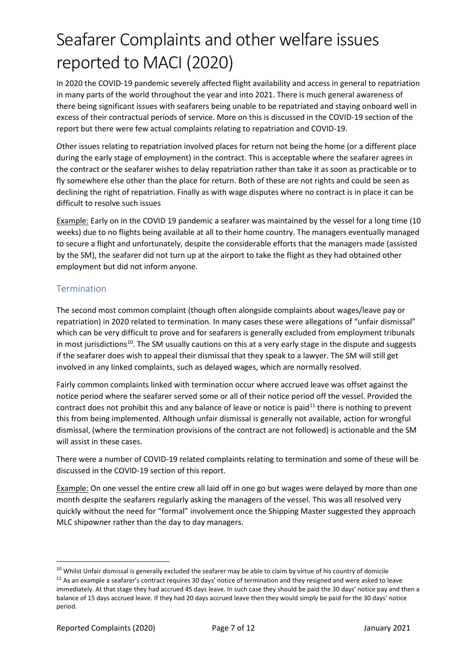In 2020 the COVID-19 pandemic severely affected flight availability and access in general to repatriation in many parts of the world throughout the year and into 2021. There is much general awareness of there being significant issues with seafarers being unable to be repatriated and staying onboard well in excess of their contractual periods of service. More on this is discussed in the COVID-19 section of the report but there were few actual complaints relating to repatriation and COVID-19.

Other issues relating to repatriation involved places for return not being the home (or a different place during the early stage of employment) in the contract. This is acceptable where the seafarer agrees in the contract or the seafarer wishes to delay repatriation rather than take it as soon as practicable or to fly somewhere else other than the place for return. Both of these are not rights and could be seen as declining the right of repatriation. Finally as with wage disputes where no contract is in place it can be difficult to resolve such issues

Example: Early on in the COVID 19 pandemic a seafarer was maintained by the vessel for a long time (10 weeks) due to no flights being available at all to their home country. The managers eventually managed to secure a flight and unfortunately, despite the considerable efforts that the managers made (assisted by the SM), the seafarer did not turn up at the airport to take the flight as they had obtained other employment but did not inform anyone.

#### **Termination**

The second most common complaint (though often alongside complaints about wages/leave pay or repatriation) in 2020 related to termination. In many cases these were allegations of "unfair dismissal" which can be very difficult to prove and for seafarers is generally excluded from employment tribunals in most jurisdictions<sup>10</sup>. The SM usually cautions on this at a very early stage in the dispute and suggests if the seafarer does wish to appeal their dismissal that they speak to a lawyer. The SM will still get involved in any linked complaints, such as delayed wages, which are normally resolved.

Fairly common complaints linked with termination occur where accrued leave was offset against the notice period where the seafarer served some or all of their notice period off the vessel. Provided the contract does not prohibit this and any balance of leave or notice is paid $11$  there is nothing to prevent this from being implemented. Although unfair dismissal is generally not available, action for wrongful dismissal, (where the termination provisions of the contract are not followed) is actionable and the SM will assist in these cases.

There were a number of COVID-19 related complaints relating to termination and some of these will be discussed in the COVID-19 section of this report.

Example: On one vessel the entire crew all laid off in one go but wages were delayed by more than one month despite the seafarers regularly asking the managers of the vessel. This was all resolved very quickly without the need for "formal" involvement once the Shipping Master suggested they approach MLC shipowner rather than the day to day managers.

<span id="page-6-1"></span><span id="page-6-0"></span> $^{10}$  Whilst Unfair dismissal is generally excluded the seafarer may be able to claim by virtue of his country of domicile<br> $^{11}$  As an example a seafarer's contract requires 30 days' notice of termination and they resig immediately. At that stage they had accrued 45 days leave. In such case they should be paid the 30 days' notice pay and then a balance of 15 days accrued leave. If they had 20 days accrued leave then they would simply be paid for the 30 days' notice period.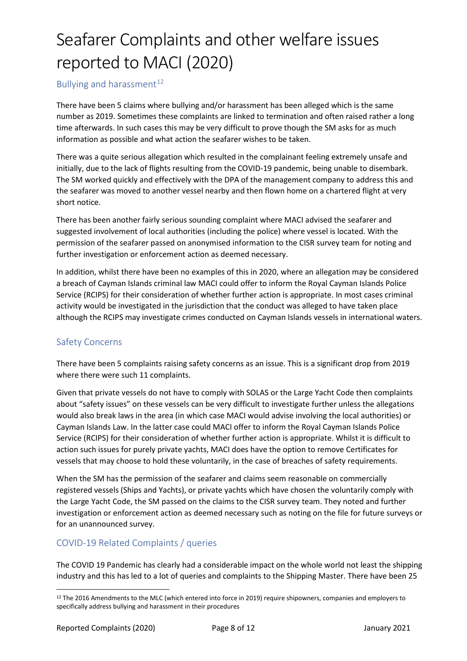#### Bullying and harassment $12$

There have been 5 claims where bullying and/or harassment has been alleged which is the same number as 2019. Sometimes these complaints are linked to termination and often raised rather a long time afterwards. In such cases this may be very difficult to prove though the SM asks for as much information as possible and what action the seafarer wishes to be taken.

There was a quite serious allegation which resulted in the complainant feeling extremely unsafe and initially, due to the lack of flights resulting from the COVID-19 pandemic, being unable to disembark. The SM worked quickly and effectively with the DPA of the management company to address this and the seafarer was moved to another vessel nearby and then flown home on a chartered flight at very short notice.

There has been another fairly serious sounding complaint where MACI advised the seafarer and suggested involvement of local authorities (including the police) where vessel is located. With the permission of the seafarer passed on anonymised information to the CISR survey team for noting and further investigation or enforcement action as deemed necessary.

In addition, whilst there have been no examples of this in 2020, where an allegation may be considered a breach of Cayman Islands criminal law MACI could offer to inform the Royal Cayman Islands Police Service (RCIPS) for their consideration of whether further action is appropriate. In most cases criminal activity would be investigated in the jurisdiction that the conduct was alleged to have taken place although the RCIPS may investigate crimes conducted on Cayman Islands vessels in international waters.

#### Safety Concerns

There have been 5 complaints raising safety concerns as an issue. This is a significant drop from 2019 where there were such 11 complaints.

Given that private vessels do not have to comply with SOLAS or the Large Yacht Code then complaints about "safety issues" on these vessels can be very difficult to investigate further unless the allegations would also break laws in the area (in which case MACI would advise involving the local authorities) or Cayman Islands Law. In the latter case could MACI offer to inform the Royal Cayman Islands Police Service (RCIPS) for their consideration of whether further action is appropriate. Whilst it is difficult to action such issues for purely private yachts, MACI does have the option to remove Certificates for vessels that may choose to hold these voluntarily, in the case of breaches of safety requirements.

When the SM has the permission of the seafarer and claims seem reasonable on commercially registered vessels (Ships and Yachts), or private yachts which have chosen the voluntarily comply with the Large Yacht Code, the SM passed on the claims to the CISR survey team. They noted and further investigation or enforcement action as deemed necessary such as noting on the file for future surveys or for an unannounced survey.

#### COVID-19 Related Complaints / queries

The COVID 19 Pandemic has clearly had a considerable impact on the whole world not least the shipping industry and this has led to a lot of queries and complaints to the Shipping Master. There have been 25

<span id="page-7-0"></span><sup>&</sup>lt;sup>12</sup> The 2016 Amendments to the MLC (which entered into force in 2019) require shipowners, companies and employers to specifically address bullying and harassment in their procedures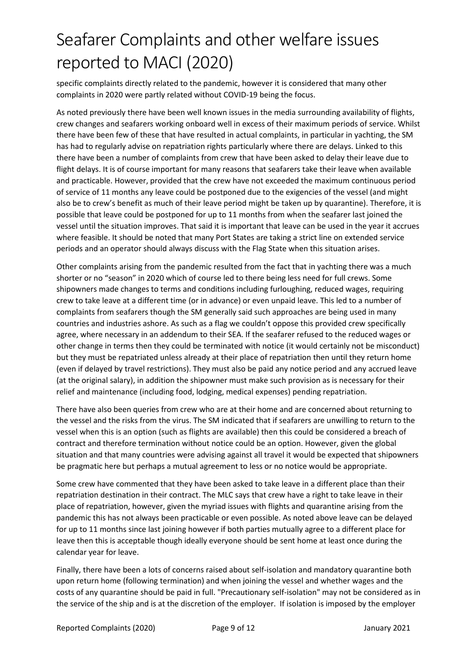specific complaints directly related to the pandemic, however it is considered that many other complaints in 2020 were partly related without COVID-19 being the focus.

As noted previously there have been well known issues in the media surrounding availability of flights, crew changes and seafarers working onboard well in excess of their maximum periods of service. Whilst there have been few of these that have resulted in actual complaints, in particular in yachting, the SM has had to regularly advise on repatriation rights particularly where there are delays. Linked to this there have been a number of complaints from crew that have been asked to delay their leave due to flight delays. It is of course important for many reasons that seafarers take their leave when available and practicable. However, provided that the crew have not exceeded the maximum continuous period of service of 11 months any leave could be postponed due to the exigencies of the vessel (and might also be to crew's benefit as much of their leave period might be taken up by quarantine). Therefore, it is possible that leave could be postponed for up to 11 months from when the seafarer last joined the vessel until the situation improves. That said it is important that leave can be used in the year it accrues where feasible. It should be noted that many Port States are taking a strict line on extended service periods and an operator should always discuss with the Flag State when this situation arises.

Other complaints arising from the pandemic resulted from the fact that in yachting there was a much shorter or no "season" in 2020 which of course led to there being less need for full crews. Some shipowners made changes to terms and conditions including furloughing, reduced wages, requiring crew to take leave at a different time (or in advance) or even unpaid leave. This led to a number of complaints from seafarers though the SM generally said such approaches are being used in many countries and industries ashore. As such as a flag we couldn't oppose this provided crew specifically agree, where necessary in an addendum to their SEA. If the seafarer refused to the reduced wages or other change in terms then they could be terminated with notice (it would certainly not be misconduct) but they must be repatriated unless already at their place of repatriation then until they return home (even if delayed by travel restrictions). They must also be paid any notice period and any accrued leave (at the original salary), in addition the shipowner must make such provision as is necessary for their relief and maintenance (including food, lodging, medical expenses) pending repatriation.

There have also been queries from crew who are at their home and are concerned about returning to the vessel and the risks from the virus. The SM indicated that if seafarers are unwilling to return to the vessel when this is an option (such as flights are available) then this could be considered a breach of contract and therefore termination without notice could be an option. However, given the global situation and that many countries were advising against all travel it would be expected that shipowners be pragmatic here but perhaps a mutual agreement to less or no notice would be appropriate.

Some crew have commented that they have been asked to take leave in a different place than their repatriation destination in their contract. The MLC says that crew have a right to take leave in their place of repatriation, however, given the myriad issues with flights and quarantine arising from the pandemic this has not always been practicable or even possible. As noted above leave can be delayed for up to 11 months since last joining however if both parties mutually agree to a different place for leave then this is acceptable though ideally everyone should be sent home at least once during the calendar year for leave.

Finally, there have been a lots of concerns raised about self-isolation and mandatory quarantine both upon return home (following termination) and when joining the vessel and whether wages and the costs of any quarantine should be paid in full. "Precautionary self-isolation" may not be considered as in the service of the ship and is at the discretion of the employer. If isolation is imposed by the employer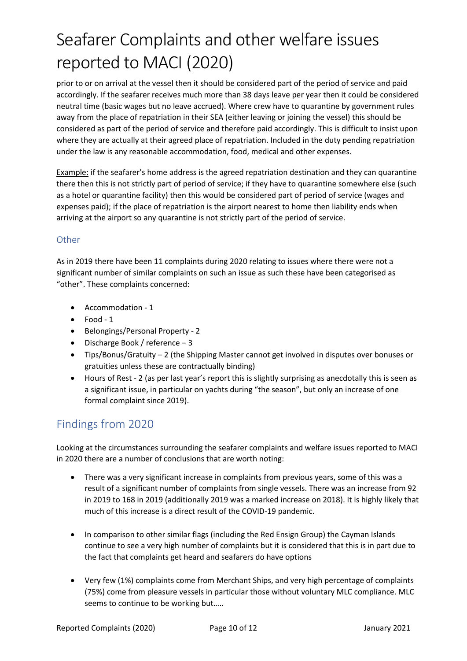prior to or on arrival at the vessel then it should be considered part of the period of service and paid accordingly. If the seafarer receives much more than 38 days leave per year then it could be considered neutral time (basic wages but no leave accrued). Where crew have to quarantine by government rules away from the place of repatriation in their SEA (either leaving or joining the vessel) this should be considered as part of the period of service and therefore paid accordingly. This is difficult to insist upon where they are actually at their agreed place of repatriation. Included in the duty pending repatriation under the law is any reasonable accommodation, food, medical and other expenses.

Example: if the seafarer's home address is the agreed repatriation destination and they can quarantine there then this is not strictly part of period of service; if they have to quarantine somewhere else (such as a hotel or quarantine facility) then this would be considered part of period of service (wages and expenses paid); if the place of repatriation is the airport nearest to home then liability ends when arriving at the airport so any quarantine is not strictly part of the period of service.

#### **Other**

As in 2019 there have been 11 complaints during 2020 relating to issues where there were not a significant number of similar complaints on such an issue as such these have been categorised as "other". These complaints concerned:

- Accommodation 1
- Food 1
- Belongings/Personal Property 2
- Discharge Book / reference 3
- Tips/Bonus/Gratuity 2 (the Shipping Master cannot get involved in disputes over bonuses or gratuities unless these are contractually binding)
- Hours of Rest 2 (as per last year's report this is slightly surprising as anecdotally this is seen as a significant issue, in particular on yachts during "the season", but only an increase of one formal complaint since 2019).

#### Findings from 2020

Looking at the circumstances surrounding the seafarer complaints and welfare issues reported to MACI in 2020 there are a number of conclusions that are worth noting:

- There was a very significant increase in complaints from previous years, some of this was a result of a significant number of complaints from single vessels. There was an increase from 92 in 2019 to 168 in 2019 (additionally 2019 was a marked increase on 2018). It is highly likely that much of this increase is a direct result of the COVID-19 pandemic.
- In comparison to other similar flags (including the Red Ensign Group) the Cayman Islands continue to see a very high number of complaints but it is considered that this is in part due to the fact that complaints get heard and seafarers do have options
- Very few (1%) complaints come from Merchant Ships, and very high percentage of complaints (75%) come from pleasure vessels in particular those without voluntary MLC compliance. MLC seems to continue to be working but…..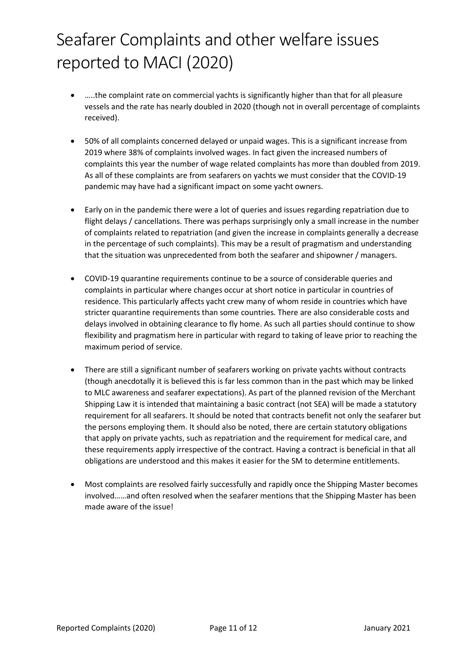- …..the complaint rate on commercial yachts is significantly higher than that for all pleasure vessels and the rate has nearly doubled in 2020 (though not in overall percentage of complaints received).
- 50% of all complaints concerned delayed or unpaid wages. This is a significant increase from 2019 where 38% of complaints involved wages. In fact given the increased numbers of complaints this year the number of wage related complaints has more than doubled from 2019. As all of these complaints are from seafarers on yachts we must consider that the COVID-19 pandemic may have had a significant impact on some yacht owners.
- Early on in the pandemic there were a lot of queries and issues regarding repatriation due to flight delays / cancellations. There was perhaps surprisingly only a small increase in the number of complaints related to repatriation (and given the increase in complaints generally a decrease in the percentage of such complaints). This may be a result of pragmatism and understanding that the situation was unprecedented from both the seafarer and shipowner / managers.
- COVID-19 quarantine requirements continue to be a source of considerable queries and complaints in particular where changes occur at short notice in particular in countries of residence. This particularly affects yacht crew many of whom reside in countries which have stricter quarantine requirements than some countries. There are also considerable costs and delays involved in obtaining clearance to fly home. As such all parties should continue to show flexibility and pragmatism here in particular with regard to taking of leave prior to reaching the maximum period of service.
- There are still a significant number of seafarers working on private yachts without contracts (though anecdotally it is believed this is far less common than in the past which may be linked to MLC awareness and seafarer expectations). As part of the planned revision of the Merchant Shipping Law it is intended that maintaining a basic contract (not SEA) will be made a statutory requirement for all seafarers. It should be noted that contracts benefit not only the seafarer but the persons employing them. It should also be noted, there are certain statutory obligations that apply on private yachts, such as repatriation and the requirement for medical care, and these requirements apply irrespective of the contract. Having a contract is beneficial in that all obligations are understood and this makes it easier for the SM to determine entitlements.
- Most complaints are resolved fairly successfully and rapidly once the Shipping Master becomes involved……and often resolved when the seafarer mentions that the Shipping Master has been made aware of the issue!